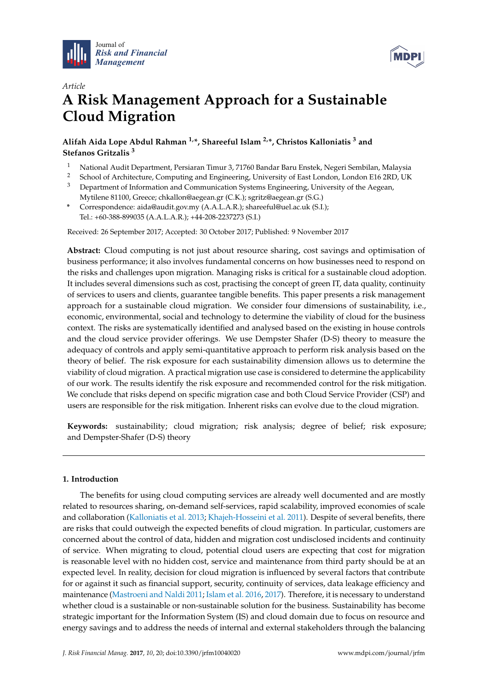



# *Article* **A Risk Management Approach for a Sustainable Cloud Migration**

**Alifah Aida Lope Abdul Rahman 1,\*, Shareeful Islam 2,\*, Christos Kalloniatis <sup>3</sup> and Stefanos Gritzalis <sup>3</sup>**

- <sup>1</sup> National Audit Department, Persiaran Timur 3, 71760 Bandar Baru Enstek, Negeri Sembilan, Malaysia<br><sup>2</sup> School of Architecture Computing and Engineering University of East London, London E16 2RD UK
- <sup>2</sup> School of Architecture, Computing and Engineering, University of East London, London E16 2RD, UK
- <sup>3</sup> Department of Information and Communication Systems Engineering, University of the Aegean, Mytilene 81100, Greece; chkallon@aegean.gr (C.K.); sgritz@aegean.gr (S.G.)
- **\*** Correspondence: aida@audit.gov.my (A.A.L.A.R.); shareeful@uel.ac.uk (S.I.); Tel.: +60-388-899035 (A.A.L.A.R.); +44-208-2237273 (S.I.)

Received: 26 September 2017; Accepted: 30 October 2017; Published: 9 November 2017

**Abstract:** Cloud computing is not just about resource sharing, cost savings and optimisation of business performance; it also involves fundamental concerns on how businesses need to respond on the risks and challenges upon migration. Managing risks is critical for a sustainable cloud adoption. It includes several dimensions such as cost, practising the concept of green IT, data quality, continuity of services to users and clients, guarantee tangible benefits. This paper presents a risk management approach for a sustainable cloud migration. We consider four dimensions of sustainability, i.e., economic, environmental, social and technology to determine the viability of cloud for the business context. The risks are systematically identified and analysed based on the existing in house controls and the cloud service provider offerings. We use Dempster Shafer (D-S) theory to measure the adequacy of controls and apply semi-quantitative approach to perform risk analysis based on the theory of belief. The risk exposure for each sustainability dimension allows us to determine the viability of cloud migration. A practical migration use case is considered to determine the applicability of our work. The results identify the risk exposure and recommended control for the risk mitigation. We conclude that risks depend on specific migration case and both Cloud Service Provider (CSP) and users are responsible for the risk mitigation. Inherent risks can evolve due to the cloud migration.

**Keywords:** sustainability; cloud migration; risk analysis; degree of belief; risk exposure; and Dempster-Shafer (D-S) theory

## **1. Introduction**

The benefits for using cloud computing services are already well documented and are mostly related to resources sharing, on-demand self-services, rapid scalability, improved economies of scale and collaboration [\(Kalloniatis et al.](#page-17-0) [2013;](#page-17-0) [Khajeh-Hosseini et al.](#page-17-1) [2011\)](#page-17-1). Despite of several benefits, there are risks that could outweigh the expected benefits of cloud migration. In particular, customers are concerned about the control of data, hidden and migration cost undisclosed incidents and continuity of service. When migrating to cloud, potential cloud users are expecting that cost for migration is reasonable level with no hidden cost, service and maintenance from third party should be at an expected level. In reality, decision for cloud migration is influenced by several factors that contribute for or against it such as financial support, security, continuity of services, data leakage efficiency and maintenance [\(Mastroeni and Naldi](#page-18-0) [2011;](#page-18-0) [Islam et al.](#page-17-2) [2016,](#page-17-2) [2017\)](#page-17-3). Therefore, it is necessary to understand whether cloud is a sustainable or non-sustainable solution for the business. Sustainability has become strategic important for the Information System (IS) and cloud domain due to focus on resource and energy savings and to address the needs of internal and external stakeholders through the balancing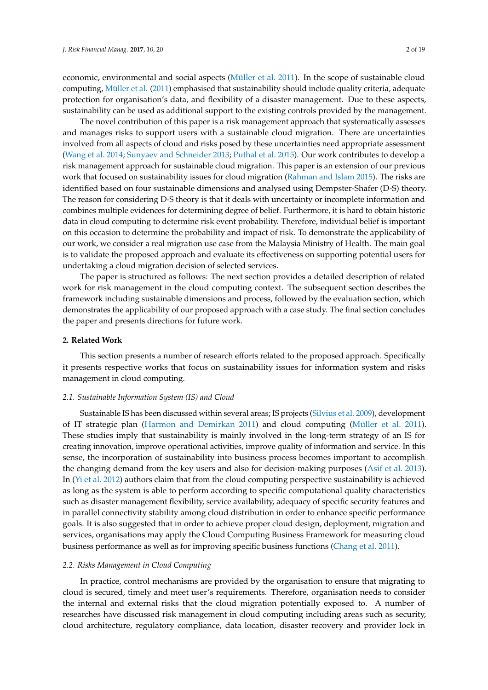economic, environmental and social aspects [\(Müller et al.](#page-18-1) [2011\)](#page-18-1). In the scope of sustainable cloud computing, [Müller et al.](#page-18-1) [\(2011\)](#page-18-1) emphasised that sustainability should include quality criteria, adequate protection for organisation's data, and flexibility of a disaster management. Due to these aspects, sustainability can be used as additional support to the existing controls provided by the management.

The novel contribution of this paper is a risk management approach that systematically assesses and manages risks to support users with a sustainable cloud migration. There are uncertainties involved from all aspects of cloud and risks posed by these uncertainties need appropriate assessment [\(Wang et al.](#page-18-2) [2014;](#page-18-2) [Sunyaev and Schneider](#page-18-3) [2013;](#page-18-3) [Puthal et al.](#page-18-4) [2015\)](#page-18-4). Our work contributes to develop a risk management approach for sustainable cloud migration. This paper is an extension of our previous work that focused on sustainability issues for cloud migration [\(Rahman and Islam](#page-18-5) [2015\)](#page-18-5). The risks are identified based on four sustainable dimensions and analysed using Dempster-Shafer (D-S) theory. The reason for considering D-S theory is that it deals with uncertainty or incomplete information and combines multiple evidences for determining degree of belief. Furthermore, it is hard to obtain historic data in cloud computing to determine risk event probability. Therefore, individual belief is important on this occasion to determine the probability and impact of risk. To demonstrate the applicability of our work, we consider a real migration use case from the Malaysia Ministry of Health. The main goal is to validate the proposed approach and evaluate its effectiveness on supporting potential users for undertaking a cloud migration decision of selected services.

The paper is structured as follows: The next section provides a detailed description of related work for risk management in the cloud computing context. The subsequent section describes the framework including sustainable dimensions and process, followed by the evaluation section, which demonstrates the applicability of our proposed approach with a case study. The final section concludes the paper and presents directions for future work.

## **2. Related Work**

This section presents a number of research efforts related to the proposed approach. Specifically it presents respective works that focus on sustainability issues for information system and risks management in cloud computing.

## *2.1. Sustainable Information System (IS) and Cloud*

Sustainable IS has been discussed within several areas; IS projects [\(Silvius et al.](#page-18-6) [2009\)](#page-18-6), development of IT strategic plan [\(Harmon and Demirkan](#page-17-4) [2011\)](#page-17-4) and cloud computing [\(Müller et al.](#page-18-1) [2011\)](#page-18-1). These studies imply that sustainability is mainly involved in the long-term strategy of an IS for creating innovation, improve operational activities, improve quality of information and service. In this sense, the incorporation of sustainability into business process becomes important to accomplish the changing demand from the key users and also for decision-making purposes [\(Asif et al.](#page-17-5) [2013\)](#page-17-5). In [\(Yi et al.](#page-18-7) [2012\)](#page-18-7) authors claim that from the cloud computing perspective sustainability is achieved as long as the system is able to perform according to specific computational quality characteristics such as disaster management flexibility, service availability, adequacy of specific security features and in parallel connectivity stability among cloud distribution in order to enhance specific performance goals. It is also suggested that in order to achieve proper cloud design, deployment, migration and services, organisations may apply the Cloud Computing Business Framework for measuring cloud business performance as well as for improving specific business functions [\(Chang et al.](#page-17-6) [2011\)](#page-17-6).

#### *2.2. Risks Management in Cloud Computing*

In practice, control mechanisms are provided by the organisation to ensure that migrating to cloud is secured, timely and meet user's requirements. Therefore, organisation needs to consider the internal and external risks that the cloud migration potentially exposed to. A number of researches have discussed risk management in cloud computing including areas such as security, cloud architecture, regulatory compliance, data location, disaster recovery and provider lock in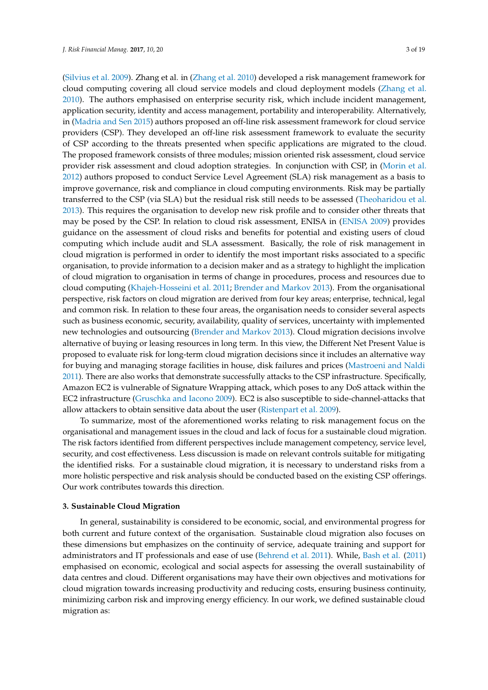[\(Silvius et al.](#page-18-6) [2009\)](#page-18-6). Zhang et al. in [\(Zhang et al.](#page-18-8) [2010\)](#page-18-8) developed a risk management framework for cloud computing covering all cloud service models and cloud deployment models [\(Zhang et al.](#page-18-8) [2010\)](#page-18-8). The authors emphasised on enterprise security risk, which include incident management, application security, identity and access management, portability and interoperability. Alternatively, in [\(Madria and Sen](#page-18-9) [2015\)](#page-18-9) authors proposed an off-line risk assessment framework for cloud service providers (CSP). They developed an off-line risk assessment framework to evaluate the security of CSP according to the threats presented when specific applications are migrated to the cloud. The proposed framework consists of three modules; mission oriented risk assessment, cloud service provider risk assessment and cloud adoption strategies. In conjunction with CSP, in [\(Morin et al.](#page-18-10) [2012\)](#page-18-10) authors proposed to conduct Service Level Agreement (SLA) risk management as a basis to improve governance, risk and compliance in cloud computing environments. Risk may be partially transferred to the CSP (via SLA) but the residual risk still needs to be assessed [\(Theoharidou et al.](#page-18-11) [2013\)](#page-18-11). This requires the organisation to develop new risk profile and to consider other threats that may be posed by the CSP. In relation to cloud risk assessment, ENISA in [\(ENISA](#page-17-7) [2009\)](#page-17-7) provides guidance on the assessment of cloud risks and benefits for potential and existing users of cloud computing which include audit and SLA assessment. Basically, the role of risk management in cloud migration is performed in order to identify the most important risks associated to a specific organisation, to provide information to a decision maker and as a strategy to highlight the implication of cloud migration to organisation in terms of change in procedures, process and resources due to cloud computing [\(Khajeh-Hosseini et al.](#page-17-1) [2011;](#page-17-1) [Brender and Markov](#page-17-8) [2013\)](#page-17-8). From the organisational perspective, risk factors on cloud migration are derived from four key areas; enterprise, technical, legal and common risk. In relation to these four areas, the organisation needs to consider several aspects such as business economic, security, availability, quality of services, uncertainty with implemented new technologies and outsourcing [\(Brender and Markov](#page-17-8) [2013\)](#page-17-8). Cloud migration decisions involve alternative of buying or leasing resources in long term. In this view, the Different Net Present Value is proposed to evaluate risk for long-term cloud migration decisions since it includes an alternative way for buying and managing storage facilities in house, disk failures and prices [\(Mastroeni and Naldi](#page-18-0) [2011\)](#page-18-0). There are also works that demonstrate successfully attacks to the CSP infrastructure. Specifically, Amazon EC2 is vulnerable of Signature Wrapping attack, which poses to any DoS attack within the EC2 infrastructure [\(Gruschka and Iacono](#page-17-9) [2009\)](#page-17-9). EC2 is also susceptible to side-channel-attacks that allow attackers to obtain sensitive data about the user [\(Ristenpart et al.](#page-18-12) [2009\)](#page-18-12).

To summarize, most of the aforementioned works relating to risk management focus on the organisational and management issues in the cloud and lack of focus for a sustainable cloud migration. The risk factors identified from different perspectives include management competency, service level, security, and cost effectiveness. Less discussion is made on relevant controls suitable for mitigating the identified risks. For a sustainable cloud migration, it is necessary to understand risks from a more holistic perspective and risk analysis should be conducted based on the existing CSP offerings. Our work contributes towards this direction.

## **3. Sustainable Cloud Migration**

In general, sustainability is considered to be economic, social, and environmental progress for both current and future context of the organisation. Sustainable cloud migration also focuses on these dimensions but emphasizes on the continuity of service, adequate training and support for administrators and IT professionals and ease of use [\(Behrend et al.](#page-17-10) [2011\)](#page-17-10). While, [Bash et al.](#page-17-11) [\(2011\)](#page-17-11) emphasised on economic, ecological and social aspects for assessing the overall sustainability of data centres and cloud. Different organisations may have their own objectives and motivations for cloud migration towards increasing productivity and reducing costs, ensuring business continuity, minimizing carbon risk and improving energy efficiency. In our work, we defined sustainable cloud migration as: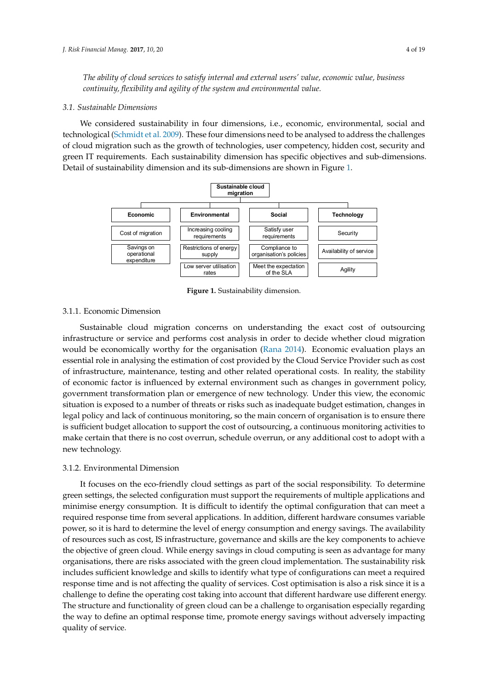*The ability of cloud services to satisfy internal and external users' value, economic value, business The ability of cloud services to satisfy internal and external users' value, economic value, business continuity, flexibility and agility of the system and environmental value. continuity, flexibility and agility of the system and environmental value.* 

## *3.1. Sustainable Dimensions 3.1. Sustainable Dimensions*

We considered sustainability in four dimensions, i.e., economic, environmental, social and We considered sustainability in four dimensions, i.e., economic, environmental, social and technologica[l \(Schmidt et al. 2](#page-18-13)009). These four dimensions need to be analysed to address the challenges of cloud migration such as the growth of technologies, user competency, hidden cost, security and green IT requirements. Each sustainability dimension has specific objectives and sub-dimensions. Detail of sustainability dimension and its sub-dimensions are sh[ow](#page-3-0)n in Figure 1.

<span id="page-3-0"></span>

**Figure 1.** Sustainability dimension. **Figure 1.** Sustainability dimension.

# 3.1.1. Economic Dimension 3.1.1. Economic Dimension

Sustainable cloud migration concerns on understanding the exact cost of outsourcing Sustainable cloud migration concerns on understanding the exact cost of outsourcing infrastructure or service and performs cost analysis in order to decide whether cloud migration infrastructure or service and performs cost analysis in order to decide whether cloud migration would be economically worthy for the organisation (Rana 2014). Economic evaluation plays an would be economically worthy for the organisation [\(Rana](#page-18-14) [2014\)](#page-18-14). Economic evaluation plays an essential role in analysing the estimation of cost provided by the Cloud Service Provider such as cost essential role in analysing the estimation of cost provided by the Cloud Service Provider such as cost of infrastructure, maintenance, testing and other related operational costs. In reality, the stability economic factor is influenced by external environment such as changes in government policy, of economic factor is influenced by external environment such as changes in government policy, government transformation plan or emergence of new technology. Under this view, the economic government transformation plan or emergence of new technology. Under this view, the economic situation is exposed to a number of threats or risks such as inadequate budget estimation, changes in situation is exposed to a number of threats or risks such as inadequate budget estimation, changes in legal policy and lack of continuous monitoring, so the main concern of organisation is to ensure there legal policy and lack of continuous monitoring, so the main concern of organisation is to ensure there is sufficient budget allocation to support the cost of outsourcing, a continuous monitoring activities is sufficient budget allocation to support the cost of outsourcing, a continuous monitoring activities to to make certain that there is no cost overrun, schedule overrun, or any additional cost to adopt with make certain that there is no cost overrun, schedule overrun, or any additional cost to adopt with a a new technology. new technology.

# 3.1.2. Environmental Dimension 3.1.2. Environmental Dimension

It focuses on the eco-friendly cloud settings as part of the social responsibility. To determine green settings, the selected configuration must support the requirements of multiple applications and green settings, the selected configuration must support the requirements of multiple applications and minimise energy consumption. It is difficult to identify the optimal configuration that can meet a minimise energy consumption. It is difficult to identify the optimal comfiguration that can meet a required response time from several applications. In addition, different hardware consumes variable required response time from several applications. In addition, different hardware consumes variable power, so it is hard to determine the level of energy consumption and energy savings. The availability power, so it is hard to determine the level of energy consumption and energy savings. The availability of resources such as cost, IS infrastructure, governance and skills are the key components to achieve of resources such as cost, IS infrastructure, governance and skills are the key components to achieve the objective of green cloud. While energy savings in cloud computing is seen as advantage for many the objective of green cloud. While energy savings in cloud computing is seen as advantage for many organisations, there are risks associated with the green cloud implementation. The sustainability risk organisations, there are risks associated with the green cloud implementation. The sustainability risk includes sufficient knowledge and skills to identify what type of configurations can meet a required response time and is not affecting the quality of services. Cost optimisation is also a risk since it is a response time and is not affecting the quality of services. Cost optimisation is also a risk since it is a challenge to define the operating cost taking into account that different hardware use different energy. challenge to define the operating cost taking into account that different hardware use different The structure and functionality of green cloud can be a challenge to organisation especially regarding The structure and functionality of green cloud can be a challenge to organisation especially regarding the way to define an optimal response time, promote energy savings without adversely impacting like  $\epsilon$ quality of service. It focuses on the eco-friendly cloud settings as part of the social responsibility. To determine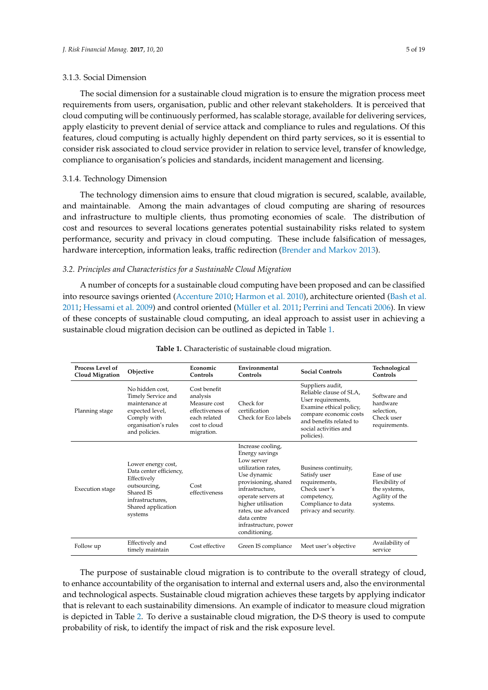#### 3.1.3. Social Dimension

The social dimension for a sustainable cloud migration is to ensure the migration process meet requirements from users, organisation, public and other relevant stakeholders. It is perceived that cloud computing will be continuously performed, has scalable storage, available for delivering services, apply elasticity to prevent denial of service attack and compliance to rules and regulations. Of this features, cloud computing is actually highly dependent on third party services, so it is essential to consider risk associated to cloud service provider in relation to service level, transfer of knowledge, compliance to organisation's policies and standards, incident management and licensing.

#### 3.1.4. Technology Dimension

The technology dimension aims to ensure that cloud migration is secured, scalable, available, and maintainable. Among the main advantages of cloud computing are sharing of resources and infrastructure to multiple clients, thus promoting economies of scale. The distribution of cost and resources to several locations generates potential sustainability risks related to system performance, security and privacy in cloud computing. These include falsification of messages, hardware interception, information leaks, traffic redirection [\(Brender and Markov](#page-17-8) [2013\)](#page-17-8).

#### *3.2. Principles and Characteristics for a Sustainable Cloud Migration*

A number of concepts for a sustainable cloud computing have been proposed and can be classified into resource savings oriented [\(Accenture](#page-17-12) [2010;](#page-17-12) [Harmon et al.](#page-17-13) [2010\)](#page-17-13), architecture oriented [\(Bash et al.](#page-17-11) [2011;](#page-17-11) [Hessami et al.](#page-17-14) [2009\)](#page-17-14) and control oriented [\(Müller et al.](#page-18-1) [2011;](#page-18-1) [Perrini and Tencati](#page-18-15) [2006\)](#page-18-15). In view of these concepts of sustainable cloud computing, an ideal approach to assist user in achieving a sustainable cloud migration decision can be outlined as depicted in Table [1.](#page-4-0)

<span id="page-4-0"></span>

| <b>Process Level of</b><br><b>Cloud Migration</b> | Objective                                                                                                                                      | Economic<br>Controls                                                                                        | Environmental<br>Controls                                                                                                                                                                                                                                     | <b>Social Controls</b>                                                                                                                                                                   | Technological<br>Controls                                                   |
|---------------------------------------------------|------------------------------------------------------------------------------------------------------------------------------------------------|-------------------------------------------------------------------------------------------------------------|---------------------------------------------------------------------------------------------------------------------------------------------------------------------------------------------------------------------------------------------------------------|------------------------------------------------------------------------------------------------------------------------------------------------------------------------------------------|-----------------------------------------------------------------------------|
| Planning stage                                    | No hidden cost.<br>Timely Service and<br>maintenance at<br>expected level,<br>Comply with<br>organisation's rules<br>and policies.             | Cost benefit<br>analysis<br>Measure cost<br>effectiveness of<br>each related<br>cost to cloud<br>migration. | Check for<br>certification<br>Check for Eco labels                                                                                                                                                                                                            | Suppliers audit,<br>Reliable clause of SLA.<br>User requirements,<br>Examine ethical policy,<br>compare economic costs<br>and benefits related to<br>social activities and<br>policies). | Software and<br>hardware<br>selection,<br>Check user<br>requirements.       |
| Execution stage                                   | Lower energy cost,<br>Data center efficiency,<br>Effectively<br>outsourcing,<br>Shared IS<br>infrastructures,<br>Shared application<br>systems | Cost<br>effectiveness                                                                                       | Increase cooling,<br>Energy savings<br>Low server<br>utilization rates.<br>Use dynamic<br>provisioning, shared<br>infrastructure.<br>operate servers at<br>higher utilisation<br>rates, use advanced<br>data centre<br>infrastructure, power<br>conditioning. | Business continuity,<br>Satisfy user<br>requirements,<br>Check user's<br>competency,<br>Compliance to data<br>privacy and security.                                                      | Ease of use<br>Flexibility of<br>the systems,<br>Agility of the<br>systems. |
| Follow up                                         | Effectively and<br>timely maintain                                                                                                             | Cost effective                                                                                              | Green IS compliance                                                                                                                                                                                                                                           | Meet user's objective                                                                                                                                                                    | Availability of<br>service                                                  |

#### **Table 1.** Characteristic of sustainable cloud migration.

The purpose of sustainable cloud migration is to contribute to the overall strategy of cloud, to enhance accountability of the organisation to internal and external users and, also the environmental and technological aspects. Sustainable cloud migration achieves these targets by applying indicator that is relevant to each sustainability dimensions. An example of indicator to measure cloud migration is depicted in Table [2.](#page-5-0) To derive a sustainable cloud migration, the D-S theory is used to compute probability of risk, to identify the impact of risk and the risk exposure level.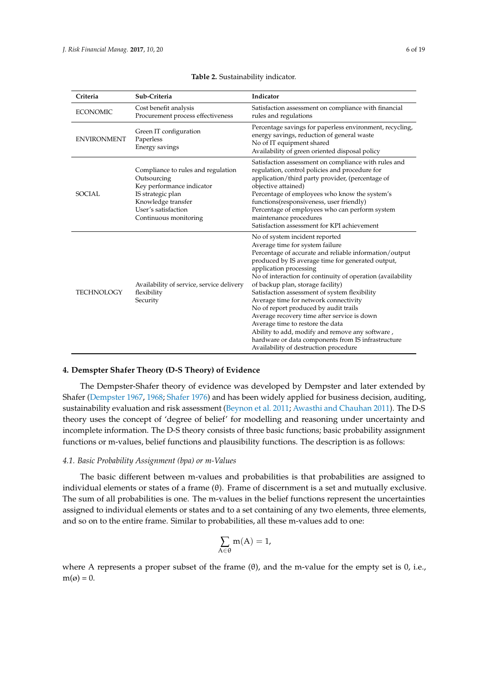<span id="page-5-0"></span>

| Criteria           | Sub-Criteria                                                                                                                                                              | Indicator                                                                                                                                                                                                                                                                                                                                                                                                                                                                                                                                                                                                                                                                              |  |  |
|--------------------|---------------------------------------------------------------------------------------------------------------------------------------------------------------------------|----------------------------------------------------------------------------------------------------------------------------------------------------------------------------------------------------------------------------------------------------------------------------------------------------------------------------------------------------------------------------------------------------------------------------------------------------------------------------------------------------------------------------------------------------------------------------------------------------------------------------------------------------------------------------------------|--|--|
| <b>ECONOMIC</b>    | Cost benefit analysis<br>Procurement process effectiveness                                                                                                                | Satisfaction assessment on compliance with financial<br>rules and regulations                                                                                                                                                                                                                                                                                                                                                                                                                                                                                                                                                                                                          |  |  |
| <b>ENVIRONMENT</b> | Green IT configuration<br>Paperless<br>Energy savings                                                                                                                     | Percentage savings for paperless environment, recycling,<br>energy savings, reduction of general waste<br>No of IT equipment shared<br>Availability of green oriented disposal policy                                                                                                                                                                                                                                                                                                                                                                                                                                                                                                  |  |  |
| SOCIAL             | Compliance to rules and regulation<br>Outsourcing<br>Key performance indicator<br>IS strategic plan<br>Knowledge transfer<br>User's satisfaction<br>Continuous monitoring | Satisfaction assessment on compliance with rules and<br>regulation, control policies and procedure for<br>application/third party provider, (percentage of<br>objective attained)<br>Percentage of employees who know the system's<br>functions(responsiveness, user friendly)<br>Percentage of employees who can perform system<br>maintenance procedures<br>Satisfaction assessment for KPI achievement                                                                                                                                                                                                                                                                              |  |  |
| <b>TECHNOLOGY</b>  | Availability of service, service delivery<br>flexibility<br>Security                                                                                                      | No of system incident reported<br>Average time for system failure<br>Percentage of accurate and reliable information/output<br>produced by IS average time for generated output,<br>application processing<br>No of interaction for continuity of operation (availability<br>of backup plan, storage facility)<br>Satisfaction assessment of system flexibility<br>Average time for network connectivity<br>No of report produced by audit trails<br>Average recovery time after service is down<br>Average time to restore the data<br>Ability to add, modify and remove any software,<br>hardware or data components from IS infrastructure<br>Availability of destruction procedure |  |  |

#### **Table 2.** Sustainability indicator.

#### **4. Demspter Shafer Theory (D-S Theory) of Evidence**

The Dempster-Shafer theory of evidence was developed by Dempster and later extended by Shafer [\(Dempster](#page-17-15) [1967,](#page-17-15) [1968;](#page-17-16) [Shafer](#page-18-16) [1976\)](#page-18-16) and has been widely applied for business decision, auditing, sustainability evaluation and risk assessment [\(Beynon et al.](#page-17-17) [2011;](#page-17-17) [Awasthi and Chauhan](#page-17-18) [2011\)](#page-17-18). The D-S theory uses the concept of 'degree of belief' for modelling and reasoning under uncertainty and incomplete information. The D-S theory consists of three basic functions; basic probability assignment functions or m-values, belief functions and plausibility functions. The description is as follows:

# *4.1. Basic Probability Assignment (bpa) or m-Values*

The basic different between m-values and probabilities is that probabilities are assigned to individual elements or states of a frame (θ). Frame of discernment is a set and mutually exclusive. The sum of all probabilities is one. The m-values in the belief functions represent the uncertainties assigned to individual elements or states and to a set containing of any two elements, three elements, and so on to the entire frame. Similar to probabilities, all these m-values add to one:

$$
\sum_{A\in\theta} m(A)=1,
$$

where A represents a proper subset of the frame  $(\theta)$ , and the m-value for the empty set is 0, i.e.,  $m(\varnothing) = 0.$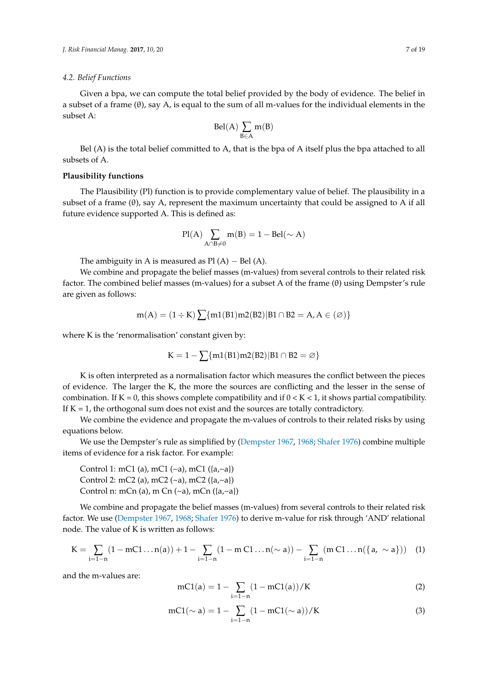#### *4.2. Belief Functions*

Given a bpa, we can compute the total belief provided by the body of evidence. The belief in a subset of a frame (θ), say A, is equal to the sum of all m-values for the individual elements in the subset A:

$$
Bel(A)\sum_{B\in A}m(B)
$$

Bel (A) is the total belief committed to A, that is the bpa of A itself plus the bpa attached to all subsets of A.

## **Plausibility functions**

The Plausibility (Pl) function is to provide complementary value of belief. The plausibility in a subset of a frame  $(\theta)$ , say A, represent the maximum uncertainty that could be assigned to A if all future evidence supported A. This is defined as:

$$
Pl(A)\sum_{A\cap B\neq 0}m(B)=1-Bel(\sim A)
$$

The ambiguity in A is measured as  $Pl(A) - Bel(A)$ .

We combine and propagate the belief masses (m-values) from several controls to their related risk factor. The combined belief masses (m-values) for a subset A of the frame (θ) using Dempster's rule are given as follows:

$$
m(A)=(1\div K)\sum\{m1(B1)m2(B2)|B1\cap B2=A,A\in(\varnothing)\}
$$

where K is the 'renormalisation' constant given by:

$$
K=1-\sum\{m1(B1)m2(B2)|B1\cap B2=\varnothing\}
$$

K is often interpreted as a normalisation factor which measures the conflict between the pieces of evidence. The larger the K, the more the sources are conflicting and the lesser in the sense of combination. If  $K = 0$ , this shows complete compatibility and if  $0 < K < 1$ , it shows partial compatibility. If  $K = 1$ , the orthogonal sum does not exist and the sources are totally contradictory.

We combine the evidence and propagate the m-values of controls to their related risks by using equations below.

We use the Dempster's rule as simplified by [\(Dempster](#page-17-15) [1967,](#page-17-15) [1968;](#page-17-16) [Shafer](#page-18-16) [1976\)](#page-18-16) combine multiple items of evidence for a risk factor. For example:

Control 1: mC1 (a), mC1 (~a), mC1 ( $\{a, \text{--} a\}$ ) Control 2: mC2 (a), mC2 (~a), mC2 ( $\{a, \text{--}a\}$ ) Control n: mCn (a), m Cn  $(\sim a)$ , mCn  $(\lbrace a, \sim a \rbrace)$ 

We combine and propagate the belief masses (m-values) from several controls to their related risk factor. We use [\(Dempster](#page-17-15) [1967,](#page-17-15) [1968;](#page-17-16) [Shafer](#page-18-16) [1976\)](#page-18-16) to derive m-value for risk through 'AND' relational node. The value of K is written as follows:

$$
K = \sum_{i=1-n} (1-mC1 \ldots n(a)) + 1 - \sum_{i=1-n} (1-m C1 \ldots n(\sim a)) - \sum_{i=1-n} (m C1 \ldots n(\{a, \sim a\})) \quad (1)
$$

and the m-values are:

$$
mCl(a) = 1 - \sum_{i=1-n} (1 - mCl(a))/K
$$
 (2)

$$
mCl(\sim a) = 1 - \sum_{i=1-n} (1 - mCl(\sim a)) / K
$$
 (3)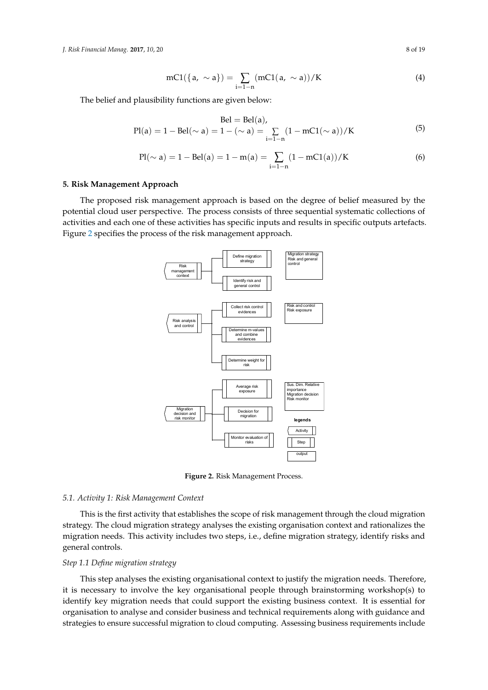*J. Risk Financial Manag.* **2017**, *10*, 20 8 of 19 *J. Risk Financial Manag.* **2017**, *10*, 20 8 of 19

$$
mCl(\{a, \sim a\}) = \sum_{i=1-n} (mCl(a, \sim a))/K
$$
 (4)

The belief and plausibility functions are given below:

$$
Bel = Bel(a),
$$
  
 
$$
Pl(a) = 1 - Bel(\sim a) = 1 - (\sim a) = \sum_{i=1-n} (1 - mCl(\sim a)) / K
$$
 (5)

$$
Pl(\sim a) = 1 - Bel(a) = 1 - m(a) = \sum_{i=1-n} (1 - mCl(a))/K
$$
 (6)

# **5. Risk Management Approach 5. Risk Management Approach**

<span id="page-7-0"></span>The proposed risk management approach is based on the degree of belief measured by the The proposed risk management approach is based on the degree of belief measured by the potential cloud user perspective. The process consists of three sequential systematic collections of potential cloud user perspective. The process consists of three sequential systematic collections of activities and each one of these activities has specific inputs and results in specific outputs artefacts. activities and each one of these activities has specific inputs and results in specific outputs artefacts. Figure 2 specifies the process of the risk management approach. Figure 2 s[pec](#page-7-0)ifies the process of the risk management approach.



**Figure 2.** Risk Management Process. **Figure 2.** Risk Management Process.

# *5.1. Activity 1: Risk Management Context 5.1. Activity 1: Risk Management Context*

This is the first activity that establishes the scope of risk management through the cloud This is the first activity that establishes the scope of risk management through the cloud migration strategy. The cloud migration strategy analyses the existing organisation context and rationalizes the migration needs. This activity includes two steps, i.e., define migration strategy, identify risks and general controls.

# *Step 1.1 Define migration strategy Step 1.1 Define migration strategy*

It is necessary to involve the key organisational people through brainstorming workshop(s) to identify key migration needs that could support the existing business context. It is essential for organisation to analyse and consider business and technical requirements along with guidance and strategies to ensure successful migration to cloud computing. Assessing business requirements include This step analyses the existing organisational context to justify the migration needs. Therefore,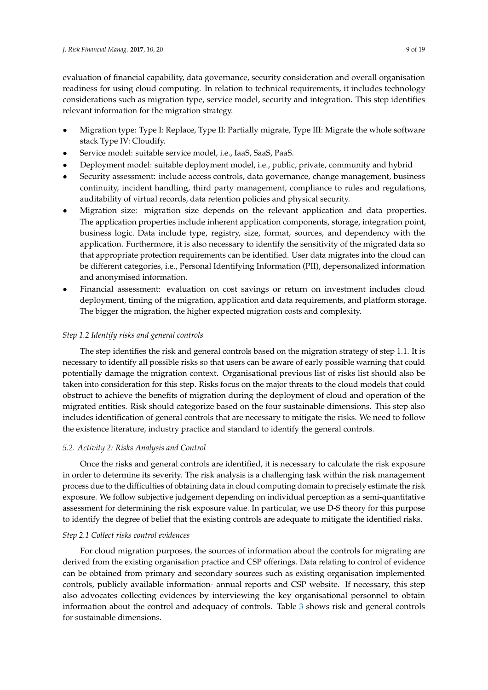evaluation of financial capability, data governance, security consideration and overall organisation readiness for using cloud computing. In relation to technical requirements, it includes technology considerations such as migration type, service model, security and integration. This step identifies relevant information for the migration strategy.

- Migration type: Type I: Replace, Type II: Partially migrate, Type III: Migrate the whole software stack Type IV: Cloudify.
- Service model: suitable service model, i.e., IaaS, SaaS, PaaS.
- Deployment model: suitable deployment model, i.e., public, private, community and hybrid
- Security assessment: include access controls, data governance, change management, business continuity, incident handling, third party management, compliance to rules and regulations, auditability of virtual records, data retention policies and physical security.
- Migration size: migration size depends on the relevant application and data properties. The application properties include inherent application components, storage, integration point, business logic. Data include type, registry, size, format, sources, and dependency with the application. Furthermore, it is also necessary to identify the sensitivity of the migrated data so that appropriate protection requirements can be identified. User data migrates into the cloud can be different categories, i.e., Personal Identifying Information (PII), depersonalized information and anonymised information.
- Financial assessment: evaluation on cost savings or return on investment includes cloud deployment, timing of the migration, application and data requirements, and platform storage. The bigger the migration, the higher expected migration costs and complexity.

## *Step 1.2 Identify risks and general controls*

The step identifies the risk and general controls based on the migration strategy of step 1.1. It is necessary to identify all possible risks so that users can be aware of early possible warning that could potentially damage the migration context. Organisational previous list of risks list should also be taken into consideration for this step. Risks focus on the major threats to the cloud models that could obstruct to achieve the benefits of migration during the deployment of cloud and operation of the migrated entities. Risk should categorize based on the four sustainable dimensions. This step also includes identification of general controls that are necessary to mitigate the risks. We need to follow the existence literature, industry practice and standard to identify the general controls.

# *5.2. Activity 2: Risks Analysis and Control*

Once the risks and general controls are identified, it is necessary to calculate the risk exposure in order to determine its severity. The risk analysis is a challenging task within the risk management process due to the difficulties of obtaining data in cloud computing domain to precisely estimate the risk exposure. We follow subjective judgement depending on individual perception as a semi-quantitative assessment for determining the risk exposure value. In particular, we use D-S theory for this purpose to identify the degree of belief that the existing controls are adequate to mitigate the identified risks.

## *Step 2.1 Collect risks control evidences*

For cloud migration purposes, the sources of information about the controls for migrating are derived from the existing organisation practice and CSP offerings. Data relating to control of evidence can be obtained from primary and secondary sources such as existing organisation implemented controls, publicly available information- annual reports and CSP website. If necessary, this step also advocates collecting evidences by interviewing the key organisational personnel to obtain information about the control and adequacy of controls. Table [3](#page-9-0) shows risk and general controls for sustainable dimensions.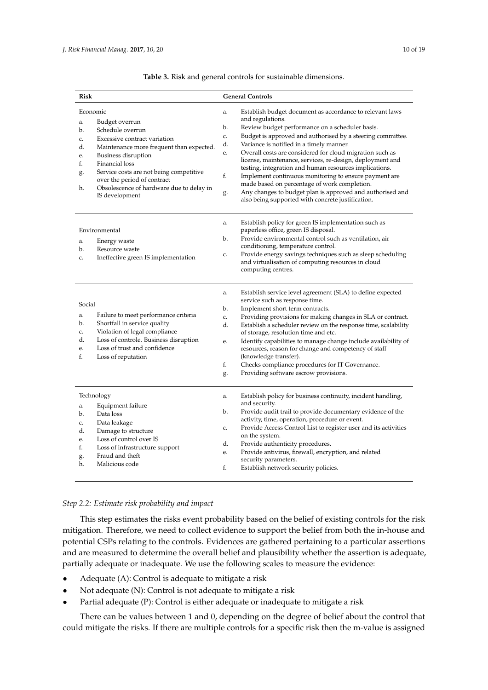<span id="page-9-0"></span>

| Risk                                                                                                                                                                                                                                                                                                                                                        | <b>General Controls</b>                                                                                                                                                                                                                                                                                                                                                                                                                                                                                                                                                                                                                                                                           |  |  |  |  |
|-------------------------------------------------------------------------------------------------------------------------------------------------------------------------------------------------------------------------------------------------------------------------------------------------------------------------------------------------------------|---------------------------------------------------------------------------------------------------------------------------------------------------------------------------------------------------------------------------------------------------------------------------------------------------------------------------------------------------------------------------------------------------------------------------------------------------------------------------------------------------------------------------------------------------------------------------------------------------------------------------------------------------------------------------------------------------|--|--|--|--|
| Economic<br>Budget overrun<br>a.<br>Schedule overrun<br>b.<br>Excessive contract variation<br>c.<br>Maintenance more frequent than expected.<br>d.<br>Business disruption<br>e.<br>Financial loss<br>f.<br>Service costs are not being competitive<br>g.<br>over the period of contract<br>Obsolescence of hardware due to delay in<br>h.<br>IS development | Establish budget document as accordance to relevant laws<br>a.<br>and regulations.<br>Review budget performance on a scheduler basis.<br>b.<br>Budget is approved and authorised by a steering committee.<br>c.<br>Variance is notified in a timely manner.<br>d.<br>Overall costs are considered for cloud migration such as<br>e.<br>license, maintenance, services, re-design, deployment and<br>testing, integration and human resources implications.<br>Implement continuous monitoring to ensure payment are<br>f.<br>made based on percentage of work completion.<br>Any changes to budget plan is approved and authorised and<br>g.<br>also being supported with concrete justification. |  |  |  |  |
| Environmental<br>Energy waste<br>a.<br>b.<br>Resource waste<br>Ineffective green IS implementation<br>c.                                                                                                                                                                                                                                                    | Establish policy for green IS implementation such as<br>a.<br>paperless office, green IS disposal.<br>Provide environmental control such as ventilation, air<br>b.<br>conditioning, temperature control.<br>Provide energy savings techniques such as sleep scheduling<br>c.<br>and virtualisation of computing resources in cloud<br>computing centres.                                                                                                                                                                                                                                                                                                                                          |  |  |  |  |
| Social<br>Failure to meet performance criteria<br>a.<br>Shortfall in service quality<br>b.<br>Violation of legal compliance<br>c.<br>Loss of controle. Business disruption<br>d.<br>Loss of trust and confidence<br>e.<br>f.<br>Loss of reputation                                                                                                          | Establish service level agreement (SLA) to define expected<br>a.<br>service such as response time.<br>Implement short term contracts.<br>b.<br>Providing provisions for making changes in SLA or contract.<br>c.<br>d.<br>Establish a scheduler review on the response time, scalability<br>of storage, resolution time and etc.<br>Identify capabilities to manage change include availability of<br>e.<br>resources, reason for change and competency of staff<br>(knowledge transfer).<br>f.<br>Checks compliance procedures for IT Governance.<br>Providing software escrow provisions.<br>g.                                                                                                 |  |  |  |  |
| Technology<br>Equipment failure<br>a.<br>Data loss<br>b.<br>Data leakage<br>c.<br>Damage to structure<br>d.<br>Loss of control over IS<br>e.<br>Loss of infrastructure support<br>f.<br>Fraud and theft<br>g.<br>Malicious code<br>h.                                                                                                                       | Establish policy for business continuity, incident handling,<br>a.<br>and security.<br>Provide audit trail to provide documentary evidence of the<br>b.<br>activity, time, operation, procedure or event.<br>Provide Access Control List to register user and its activities<br>c.<br>on the system.<br>Provide authenticity procedures.<br>d.<br>Provide antivirus, firewall, encryption, and related<br>e.<br>security parameters.<br>f.<br>Establish network security policies.                                                                                                                                                                                                                |  |  |  |  |

## **Table 3.** Risk and general controls for sustainable dimensions.

# *Step 2.2: Estimate risk probability and impact*

This step estimates the risks event probability based on the belief of existing controls for the risk mitigation. Therefore, we need to collect evidence to support the belief from both the in-house and potential CSPs relating to the controls. Evidences are gathered pertaining to a particular assertions and are measured to determine the overall belief and plausibility whether the assertion is adequate, partially adequate or inadequate. We use the following scales to measure the evidence:

- Adequate (A): Control is adequate to mitigate a risk
- Not adequate (N): Control is not adequate to mitigate a risk
- Partial adequate (P): Control is either adequate or inadequate to mitigate a risk

There can be values between 1 and 0, depending on the degree of belief about the control that could mitigate the risks. If there are multiple controls for a specific risk then the m-value is assigned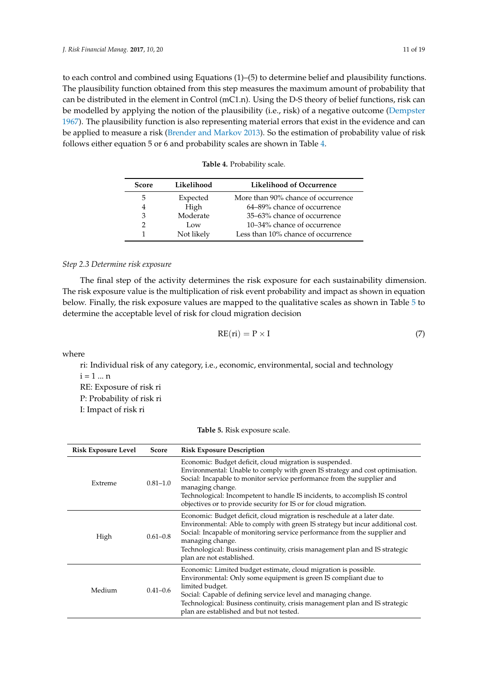to each control and combined using Equations (1)–(5) to determine belief and plausibility functions. The plausibility function obtained from this step measures the maximum amount of probability that can be distributed in the element in Control (mC1.n). Using the D-S theory of belief functions, risk can be modelled by applying the notion of the plausibility (i.e., risk) of a negative outcome [\(Dempster](#page-17-15) [1967\)](#page-17-15). The plausibility function is also representing material errors that exist in the evidence and can be applied to measure a risk [\(Brender and Markov](#page-17-8) [2013\)](#page-17-8). So the estimation of probability value of risk follows either equation 5 or 6 and probability scales are shown in Table [4.](#page-10-0)

<span id="page-10-0"></span>

| <b>Score</b> | Likelihood | Likelihood of Occurrence           |
|--------------|------------|------------------------------------|
| 5            | Expected   | More than 90% chance of occurrence |
| 4            | High       | 64–89% chance of occurrence        |
| 3            | Moderate   | 35–63% chance of occurrence        |
| 2            | Low        | 10–34% chance of occurrence        |
| 1            | Not likely | Less than 10% chance of occurrence |

## *Step 2.3 Determine risk exposure*

The final step of the activity determines the risk exposure for each sustainability dimension. The risk exposure value is the multiplication of risk event probability and impact as shown in equation below. Finally, the risk exposure values are mapped to the qualitative scales as shown in Table [5](#page-11-0) to determine the acceptable level of risk for cloud migration decision

$$
RE(ri) = P \times I \tag{7}
$$

where

ri: Individual risk of any category, i.e., economic, environmental, social and technology  $i = 1 ... n$ RE: Exposure of risk ri

P: Probability of risk ri I: Impact of risk ri

|  | Table 5. Risk exposure scale. |
|--|-------------------------------|
|--|-------------------------------|

| <b>Risk Exposure Level</b> | Score        | <b>Risk Exposure Description</b>                                                                                                                                                                                                                                                                                                                                                          |
|----------------------------|--------------|-------------------------------------------------------------------------------------------------------------------------------------------------------------------------------------------------------------------------------------------------------------------------------------------------------------------------------------------------------------------------------------------|
| $0.81 - 1.0$<br>Extreme    |              | Economic: Budget deficit, cloud migration is suspended.<br>Environmental: Unable to comply with green IS strategy and cost optimisation.<br>Social: Incapable to monitor service performance from the supplier and<br>managing change.<br>Technological: Incompetent to handle IS incidents, to accomplish IS control<br>objectives or to provide security for IS or for cloud migration. |
| High                       | $0.61 - 0.8$ | Economic: Budget deficit, cloud migration is reschedule at a later date.<br>Environmental: Able to comply with green IS strategy but incur additional cost.<br>Social: Incapable of monitoring service performance from the supplier and<br>managing change.<br>Technological: Business continuity, crisis management plan and IS strategic<br>plan are not established.                  |
| $0.41 - 0.6$<br>Medium     |              | Economic: Limited budget estimate, cloud migration is possible.<br>Environmental: Only some equipment is green IS compliant due to<br>limited budget.<br>Social: Capable of defining service level and managing change.<br>Technological: Business continuity, crisis management plan and IS strategic<br>plan are established and but not tested.                                        |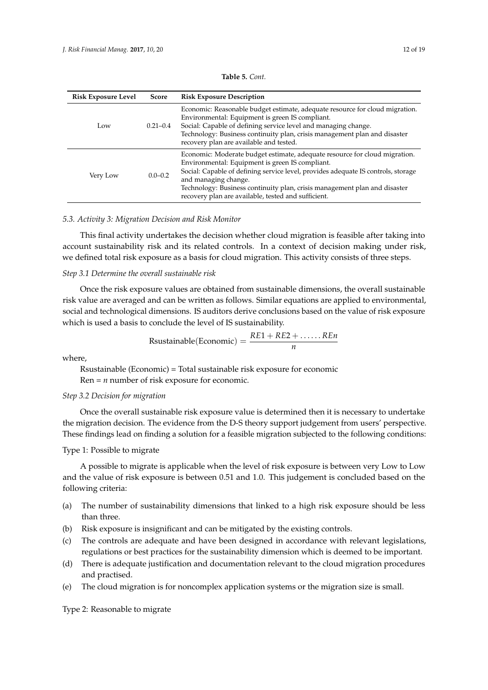<span id="page-11-0"></span>

| <b>Risk Exposure Level</b> | Score        | <b>Risk Exposure Description</b>                                                                                                                                                                                                                                                                                                                                               |
|----------------------------|--------------|--------------------------------------------------------------------------------------------------------------------------------------------------------------------------------------------------------------------------------------------------------------------------------------------------------------------------------------------------------------------------------|
| Low                        | $0.21 - 0.4$ | Economic: Reasonable budget estimate, adequate resource for cloud migration.<br>Environmental: Equipment is green IS compliant.<br>Social: Capable of defining service level and managing change.<br>Technology: Business continuity plan, crisis management plan and disaster<br>recovery plan are available and tested.                                                      |
| $0.0 - 0.2$<br>Very Low    |              | Economic: Moderate budget estimate, adequate resource for cloud migration.<br>Environmental: Equipment is green IS compliant.<br>Social: Capable of defining service level, provides adequate IS controls, storage<br>and managing change.<br>Technology: Business continuity plan, crisis management plan and disaster<br>recovery plan are available, tested and sufficient. |

**Table 5.** *Cont.*

# *5.3. Activity 3: Migration Decision and Risk Monitor*

This final activity undertakes the decision whether cloud migration is feasible after taking into account sustainability risk and its related controls. In a context of decision making under risk, we defined total risk exposure as a basis for cloud migration. This activity consists of three steps.

## *Step 3.1 Determine the overall sustainable risk*

Once the risk exposure values are obtained from sustainable dimensions, the overall sustainable risk value are averaged and can be written as follows. Similar equations are applied to environmental, social and technological dimensions. IS auditors derive conclusions based on the value of risk exposure which is used a basis to conclude the level of IS sustainability.

$$
Rsustainable(Economic) = \frac{RE1 + RE2 + \dots, REn}{n}
$$

where,

Rsustainable (Economic) = Total sustainable risk exposure for economic  $Ren = n$  number of risk exposure for economic.

## *Step 3.2 Decision for migration*

Once the overall sustainable risk exposure value is determined then it is necessary to undertake the migration decision. The evidence from the D-S theory support judgement from users' perspective. These findings lead on finding a solution for a feasible migration subjected to the following conditions:

## Type 1: Possible to migrate

A possible to migrate is applicable when the level of risk exposure is between very Low to Low and the value of risk exposure is between 0.51 and 1.0. This judgement is concluded based on the following criteria:

- (a) The number of sustainability dimensions that linked to a high risk exposure should be less than three.
- (b) Risk exposure is insignificant and can be mitigated by the existing controls.
- (c) The controls are adequate and have been designed in accordance with relevant legislations, regulations or best practices for the sustainability dimension which is deemed to be important.
- (d) There is adequate justification and documentation relevant to the cloud migration procedures and practised.
- (e) The cloud migration is for noncomplex application systems or the migration size is small.

Type 2: Reasonable to migrate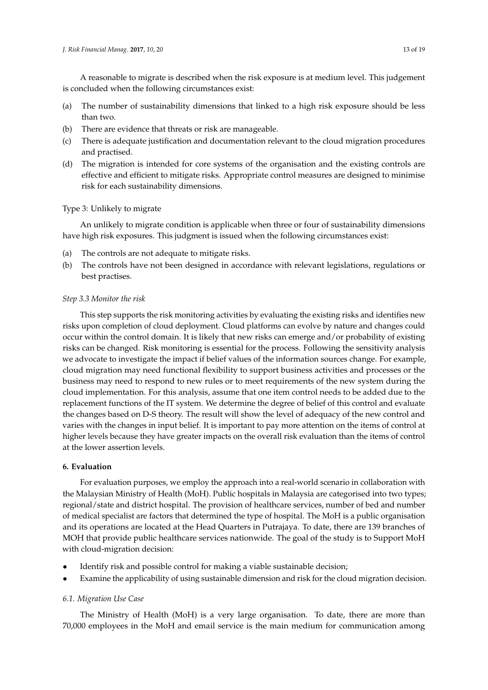A reasonable to migrate is described when the risk exposure is at medium level. This judgement is concluded when the following circumstances exist:

- (a) The number of sustainability dimensions that linked to a high risk exposure should be less than two.
- (b) There are evidence that threats or risk are manageable.
- (c) There is adequate justification and documentation relevant to the cloud migration procedures and practised.
- (d) The migration is intended for core systems of the organisation and the existing controls are effective and efficient to mitigate risks. Appropriate control measures are designed to minimise risk for each sustainability dimensions.

# Type 3: Unlikely to migrate

An unlikely to migrate condition is applicable when three or four of sustainability dimensions have high risk exposures. This judgment is issued when the following circumstances exist:

- (a) The controls are not adequate to mitigate risks.
- (b) The controls have not been designed in accordance with relevant legislations, regulations or best practises.

# *Step 3.3 Monitor the risk*

This step supports the risk monitoring activities by evaluating the existing risks and identifies new risks upon completion of cloud deployment. Cloud platforms can evolve by nature and changes could occur within the control domain. It is likely that new risks can emerge and/or probability of existing risks can be changed. Risk monitoring is essential for the process. Following the sensitivity analysis we advocate to investigate the impact if belief values of the information sources change. For example, cloud migration may need functional flexibility to support business activities and processes or the business may need to respond to new rules or to meet requirements of the new system during the cloud implementation. For this analysis, assume that one item control needs to be added due to the replacement functions of the IT system. We determine the degree of belief of this control and evaluate the changes based on D-S theory. The result will show the level of adequacy of the new control and varies with the changes in input belief. It is important to pay more attention on the items of control at higher levels because they have greater impacts on the overall risk evaluation than the items of control at the lower assertion levels.

# **6. Evaluation**

For evaluation purposes, we employ the approach into a real-world scenario in collaboration with the Malaysian Ministry of Health (MoH). Public hospitals in Malaysia are categorised into two types; regional/state and district hospital. The provision of healthcare services, number of bed and number of medical specialist are factors that determined the type of hospital. The MoH is a public organisation and its operations are located at the Head Quarters in Putrajaya. To date, there are 139 branches of MOH that provide public healthcare services nationwide. The goal of the study is to Support MoH with cloud-migration decision:

- Identify risk and possible control for making a viable sustainable decision;
- Examine the applicability of using sustainable dimension and risk for the cloud migration decision.

# *6.1. Migration Use Case*

The Ministry of Health (MoH) is a very large organisation. To date, there are more than 70,000 employees in the MoH and email service is the main medium for communication among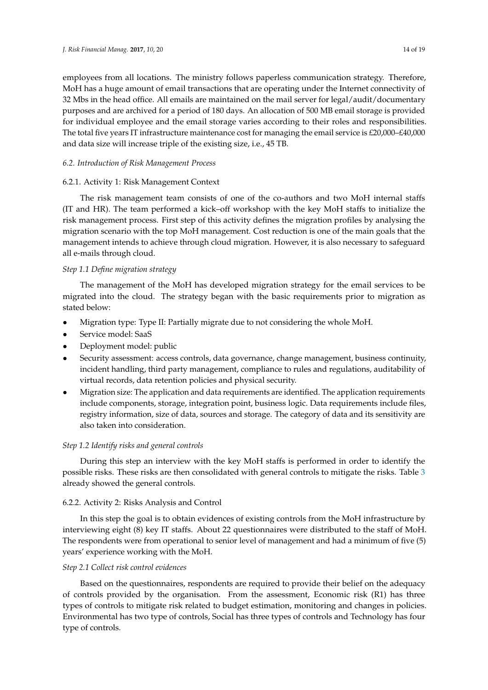employees from all locations. The ministry follows paperless communication strategy. Therefore, MoH has a huge amount of email transactions that are operating under the Internet connectivity of 32 Mbs in the head office. All emails are maintained on the mail server for legal/audit/documentary purposes and are archived for a period of 180 days. An allocation of 500 MB email storage is provided for individual employee and the email storage varies according to their roles and responsibilities. The total five years IT infrastructure maintenance cost for managing the email service is £20,000–£40,000 and data size will increase triple of the existing size, i.e., 45 TB.

## *6.2. Introduction of Risk Management Process*

# 6.2.1. Activity 1: Risk Management Context

The risk management team consists of one of the co-authors and two MoH internal staffs (IT and HR). The team performed a kick–off workshop with the key MoH staffs to initialize the risk management process. First step of this activity defines the migration profiles by analysing the migration scenario with the top MoH management. Cost reduction is one of the main goals that the management intends to achieve through cloud migration. However, it is also necessary to safeguard all e-mails through cloud.

# *Step 1.1 Define migration strategy*

The management of the MoH has developed migration strategy for the email services to be migrated into the cloud. The strategy began with the basic requirements prior to migration as stated below:

- Migration type: Type II: Partially migrate due to not considering the whole MoH.
- Service model: SaaS
- Deployment model: public
- Security assessment: access controls, data governance, change management, business continuity, incident handling, third party management, compliance to rules and regulations, auditability of virtual records, data retention policies and physical security.
- Migration size: The application and data requirements are identified. The application requirements include components, storage, integration point, business logic. Data requirements include files, registry information, size of data, sources and storage. The category of data and its sensitivity are also taken into consideration.

# *Step 1.2 Identify risks and general controls*

During this step an interview with the key MoH staffs is performed in order to identify the possible risks. These risks are then consolidated with general controls to mitigate the risks. Table [3](#page-9-0) already showed the general controls.

# 6.2.2. Activity 2: Risks Analysis and Control

In this step the goal is to obtain evidences of existing controls from the MoH infrastructure by interviewing eight (8) key IT staffs. About 22 questionnaires were distributed to the staff of MoH. The respondents were from operational to senior level of management and had a minimum of five (5) years' experience working with the MoH.

# *Step 2.1 Collect risk control evidences*

Based on the questionnaires, respondents are required to provide their belief on the adequacy of controls provided by the organisation. From the assessment, Economic risk  $(R1)$  has three types of controls to mitigate risk related to budget estimation, monitoring and changes in policies. Environmental has two type of controls, Social has three types of controls and Technology has four type of controls.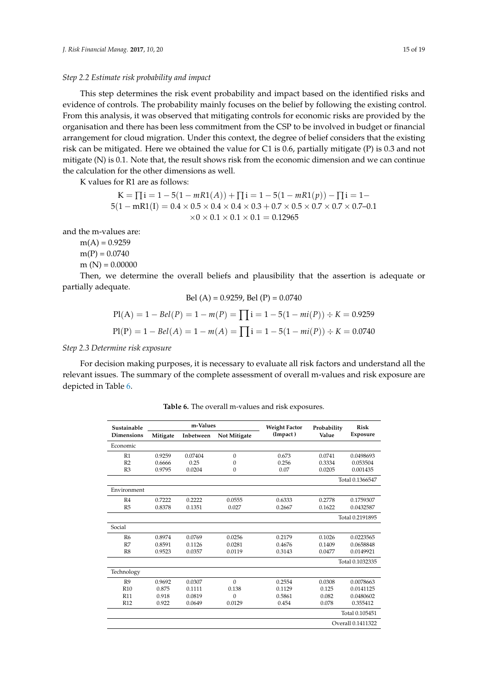#### *Step 2.2 Estimate risk probability and impact*

This step determines the risk event probability and impact based on the identified risks and evidence of controls. The probability mainly focuses on the belief by following the existing control. From this analysis, it was observed that mitigating controls for economic risks are provided by the organisation and there has been less commitment from the CSP to be involved in budget or financial arrangement for cloud migration. Under this context, the degree of belief considers that the existing risk can be mitigated. Here we obtained the value for C1 is 0.6, partially mitigate (P) is 0.3 and not mitigate (N) is 0.1. Note that, the result shows risk from the economic dimension and we can continue the calculation for the other dimensions as well.

K values for R1 are as follows:

$$
K = \prod_{i=1}^{n} 1 - 5(1 - mR1(A)) + \prod_{i=1}^{n} 1 - 5(1 - mR1(p)) - \prod_{i=1}^{n} 1 - 5(1 - mR1(I)) = 0.4 \times 0.5 \times 0.4 \times 0.4 \times 0.3 + 0.7 \times 0.5 \times 0.7 \times 0.7 \times 0.7 - 0.1
$$
  
×0 × 0.1 × 0.1 = 0.12965

and the m-values are:

 $m(A) = 0.9259$  $m(P) = 0.0740$  $m(N) = 0.00000$ 

Then, we determine the overall beliefs and plausibility that the assertion is adequate or partially adequate.

Bel (A) = 0.9259, Bel (P) = 0.0740  
\n
$$
Pl(A) = 1 - Bel(P) = 1 - m(P) = \prod_{i=1}^{n} i = 1 - 5(1 - mi(P)) \div K = 0.9259
$$
\n
$$
Pl(P) = 1 - Bel(A) = 1 - m(A) = \prod_{i=1}^{n} i = 1 - 5(1 - mi(P)) \div K = 0.0740
$$

#### *Step 2.3 Determine risk exposure*

<span id="page-14-0"></span>For decision making purposes, it is necessary to evaluate all risk factors and understand all the relevant issues. The summary of the complete assessment of overall m-values and risk exposure are depicted in Table [6.](#page-14-0)

| <b>Table 6.</b> The overall m-values and risk exposures. |  |
|----------------------------------------------------------|--|
|----------------------------------------------------------|--|

| Sustainable       | m-Values |           |                     | <b>Weight Factor</b> | Probability | <b>Risk</b>       |
|-------------------|----------|-----------|---------------------|----------------------|-------------|-------------------|
| <b>Dimensions</b> | Mitigate | Inbetween | <b>Not Mitigate</b> | (Impact)             | Value       | Exposure          |
| Economic          |          |           |                     |                      |             |                   |
| R <sub>1</sub>    | 0.9259   | 0.07404   | $\Omega$            | 0.673                | 0.0741      | 0.0498693         |
| R <sub>2</sub>    | 0.6666   | 0.25      | $\Omega$            | 0.256                | 0.3334      | 0.053504          |
| R <sub>3</sub>    | 0.9795   | 0.0204    | $\Omega$            | 0.07                 | 0.0205      | 0.001435          |
|                   |          |           |                     | Total 0.1366547      |             |                   |
| Environment       |          |           |                     |                      |             |                   |
| R4                | 0.7222   | 0.2222    | 0.0555              | 0.6333               | 0.2778      | 0.1759307         |
| R <sub>5</sub>    | 0.8378   | 0.1351    | 0.027               | 0.2667               | 0.1622      | 0.0432587         |
|                   |          |           |                     |                      |             | Total 0.2191895   |
| Social            |          |           |                     |                      |             |                   |
| R <sub>6</sub>    | 0.8974   | 0.0769    | 0.0256              | 0.2179               | 0.1026      | 0.0223565         |
| R7                | 0.8591   | 0.1126    | 0.0281              | 0.4676               | 0.1409      | 0.0658848         |
| R8                | 0.9523   | 0.0357    | 0.0119              | 0.3143               | 0.0477      | 0.0149921         |
|                   |          |           |                     |                      |             | Total 0.1032335   |
| Technology        |          |           |                     |                      |             |                   |
| R <sub>9</sub>    | 0.9692   | 0.0307    | $\Omega$            | 0.2554               | 0.0308      | 0.0078663         |
| R <sub>10</sub>   | 0.875    | 0.1111    | 0.138               | 0.1129               | 0.125       | 0.0141125         |
| <b>R11</b>        | 0.918    | 0.0819    | $\Omega$            | 0.5861               | 0.082       | 0.0480602         |
| <b>R12</b>        | 0.922    | 0.0649    | 0.0129              | 0.454                | 0.078       | 0.355412          |
|                   |          |           |                     |                      |             | Total 0.105451    |
|                   |          |           |                     |                      |             | Overall 0.1411322 |
|                   |          |           |                     |                      |             |                   |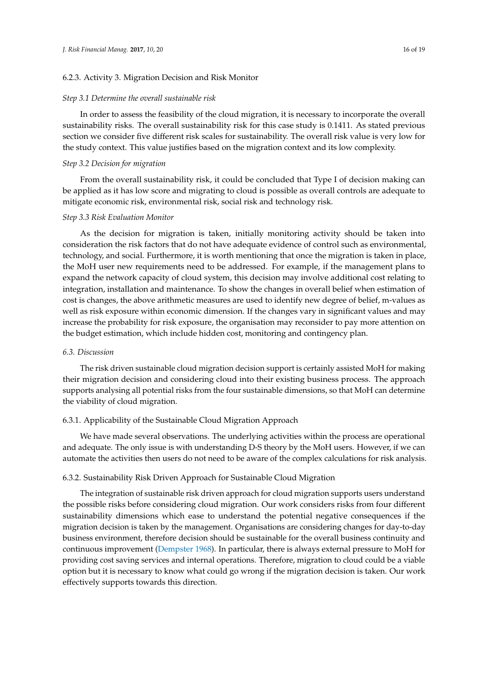### 6.2.3. Activity 3. Migration Decision and Risk Monitor

#### *Step 3.1 Determine the overall sustainable risk*

In order to assess the feasibility of the cloud migration, it is necessary to incorporate the overall sustainability risks. The overall sustainability risk for this case study is 0.1411. As stated previous section we consider five different risk scales for sustainability. The overall risk value is very low for the study context. This value justifies based on the migration context and its low complexity.

#### *Step 3.2 Decision for migration*

From the overall sustainability risk, it could be concluded that Type I of decision making can be applied as it has low score and migrating to cloud is possible as overall controls are adequate to mitigate economic risk, environmental risk, social risk and technology risk.

#### *Step 3.3 Risk Evaluation Monitor*

As the decision for migration is taken, initially monitoring activity should be taken into consideration the risk factors that do not have adequate evidence of control such as environmental, technology, and social. Furthermore, it is worth mentioning that once the migration is taken in place, the MoH user new requirements need to be addressed. For example, if the management plans to expand the network capacity of cloud system, this decision may involve additional cost relating to integration, installation and maintenance. To show the changes in overall belief when estimation of cost is changes, the above arithmetic measures are used to identify new degree of belief, m-values as well as risk exposure within economic dimension. If the changes vary in significant values and may increase the probability for risk exposure, the organisation may reconsider to pay more attention on the budget estimation, which include hidden cost, monitoring and contingency plan.

#### *6.3. Discussion*

The risk driven sustainable cloud migration decision support is certainly assisted MoH for making their migration decision and considering cloud into their existing business process. The approach supports analysing all potential risks from the four sustainable dimensions, so that MoH can determine the viability of cloud migration.

#### 6.3.1. Applicability of the Sustainable Cloud Migration Approach

We have made several observations. The underlying activities within the process are operational and adequate. The only issue is with understanding D-S theory by the MoH users. However, if we can automate the activities then users do not need to be aware of the complex calculations for risk analysis.

## 6.3.2. Sustainability Risk Driven Approach for Sustainable Cloud Migration

The integration of sustainable risk driven approach for cloud migration supports users understand the possible risks before considering cloud migration. Our work considers risks from four different sustainability dimensions which ease to understand the potential negative consequences if the migration decision is taken by the management. Organisations are considering changes for day-to-day business environment, therefore decision should be sustainable for the overall business continuity and continuous improvement [\(Dempster](#page-17-16) [1968\)](#page-17-16). In particular, there is always external pressure to MoH for providing cost saving services and internal operations. Therefore, migration to cloud could be a viable option but it is necessary to know what could go wrong if the migration decision is taken. Our work effectively supports towards this direction.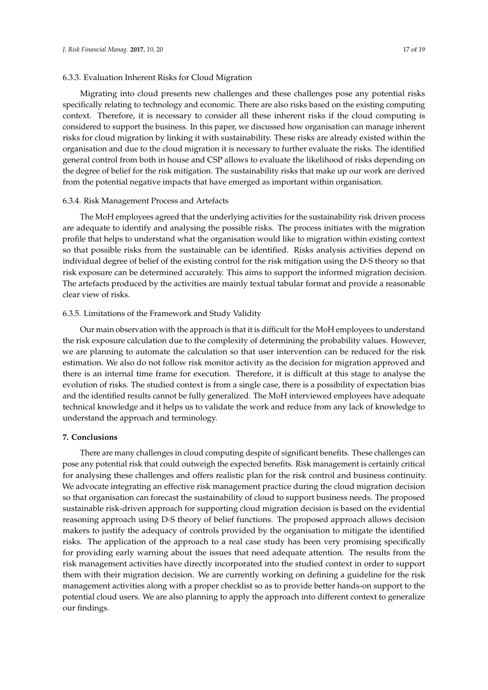Migrating into cloud presents new challenges and these challenges pose any potential risks specifically relating to technology and economic. There are also risks based on the existing computing context. Therefore, it is necessary to consider all these inherent risks if the cloud computing is considered to support the business. In this paper, we discussed how organisation can manage inherent risks for cloud migration by linking it with sustainability. These risks are already existed within the organisation and due to the cloud migration it is necessary to further evaluate the risks. The identified general control from both in house and CSP allows to evaluate the likelihood of risks depending on the degree of belief for the risk mitigation. The sustainability risks that make up our work are derived from the potential negative impacts that have emerged as important within organisation.

#### 6.3.4. Risk Management Process and Artefacts

The MoH employees agreed that the underlying activities for the sustainability risk driven process are adequate to identify and analysing the possible risks. The process initiates with the migration profile that helps to understand what the organisation would like to migration within existing context so that possible risks from the sustainable can be identified. Risks analysis activities depend on individual degree of belief of the existing control for the risk mitigation using the D-S theory so that risk exposure can be determined accurately. This aims to support the informed migration decision. The artefacts produced by the activities are mainly textual tabular format and provide a reasonable clear view of risks.

# 6.3.5. Limitations of the Framework and Study Validity

Our main observation with the approach is that it is difficult for the MoH employees to understand the risk exposure calculation due to the complexity of determining the probability values. However, we are planning to automate the calculation so that user intervention can be reduced for the risk estimation. We also do not follow risk monitor activity as the decision for migration approved and there is an internal time frame for execution. Therefore, it is difficult at this stage to analyse the evolution of risks. The studied context is from a single case, there is a possibility of expectation bias and the identified results cannot be fully generalized. The MoH interviewed employees have adequate technical knowledge and it helps us to validate the work and reduce from any lack of knowledge to understand the approach and terminology.

## **7. Conclusions**

There are many challenges in cloud computing despite of significant benefits. These challenges can pose any potential risk that could outweigh the expected benefits. Risk management is certainly critical for analysing these challenges and offers realistic plan for the risk control and business continuity. We advocate integrating an effective risk management practice during the cloud migration decision so that organisation can forecast the sustainability of cloud to support business needs. The proposed sustainable risk-driven approach for supporting cloud migration decision is based on the evidential reasoning approach using D-S theory of belief functions. The proposed approach allows decision makers to justify the adequacy of controls provided by the organisation to mitigate the identified risks. The application of the approach to a real case study has been very promising specifically for providing early warning about the issues that need adequate attention. The results from the risk management activities have directly incorporated into the studied context in order to support them with their migration decision. We are currently working on defining a guideline for the risk management activities along with a proper checklist so as to provide better hands-on support to the potential cloud users. We are also planning to apply the approach into different context to generalize our findings.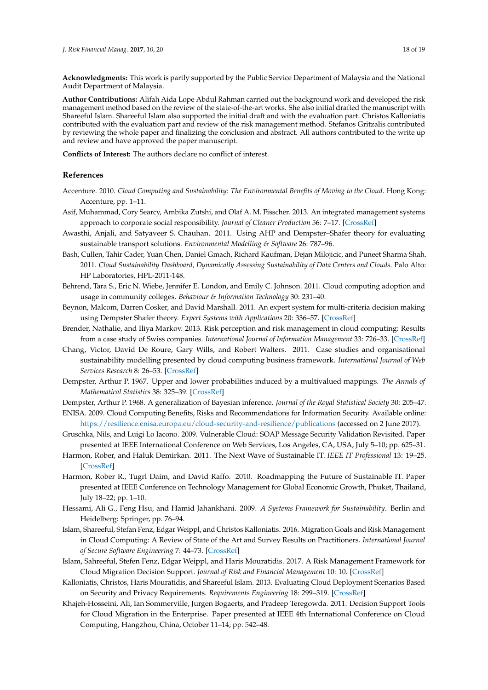**Acknowledgments:** This work is partly supported by the Public Service Department of Malaysia and the National Audit Department of Malaysia.

**Author Contributions:** Alifah Aida Lope Abdul Rahman carried out the background work and developed the risk management method based on the review of the state-of-the-art works. She also initial drafted the manuscript with Shareeful Islam. Shareeful Islam also supported the initial draft and with the evaluation part. Christos Kalloniatis contributed with the evaluation part and review of the risk management method. Stefanos Gritzalis contributed by reviewing the whole paper and finalizing the conclusion and abstract. All authors contributed to the write up and review and have approved the paper manuscript.

**Conflicts of Interest:** The authors declare no conflict of interest.

## **References**

- <span id="page-17-12"></span>Accenture. 2010. *Cloud Computing and Sustainability: The Environmental Benefits of Moving to the Cloud*. Hong Kong: Accenture, pp. 1–11.
- <span id="page-17-5"></span>Asif, Muhammad, Cory Searcy, Ambika Zutshi, and Olaf A. M. Fisscher. 2013. An integrated management systems approach to corporate social responsibility. *Journal of Cleaner Production* 56: 7–17. [\[CrossRef\]](http://dx.doi.org/10.1016/j.jclepro.2011.10.034)
- <span id="page-17-18"></span>Awasthi, Anjali, and Satyaveer S. Chauhan. 2011. Using AHP and Dempster–Shafer theory for evaluating sustainable transport solutions. *Environmental Modelling & Software* 26: 787–96.
- <span id="page-17-11"></span>Bash, Cullen, Tahir Cader, Yuan Chen, Daniel Gmach, Richard Kaufman, Dejan Milojicic, and Puneet Sharma Shah. 2011. *Cloud Sustainability Dashboard, Dynamically Assessing Sustainability of Data Centers and Clouds*. Palo Alto: HP Laboratories, HPL-2011-148.
- <span id="page-17-10"></span>Behrend, Tara S., Eric N. Wiebe, Jennifer E. London, and Emily C. Johnson. 2011. Cloud computing adoption and usage in community colleges. *Behaviour & Information Technology* 30: 231–40.
- <span id="page-17-17"></span>Beynon, Malcom, Darren Cosker, and David Marshall. 2011. An expert system for multi-criteria decision making using Dempster Shafer theory. *Expert Systems with Applications* 20: 336–57. [\[CrossRef\]](http://dx.doi.org/10.1016/S0957-4174(01)00020-3)
- <span id="page-17-8"></span>Brender, Nathalie, and Iliya Markov. 2013. Risk perception and risk management in cloud computing: Results from a case study of Swiss companies. *International Journal of Information Management* 33: 726–33. [\[CrossRef\]](http://dx.doi.org/10.1016/j.ijinfomgt.2013.05.004)
- <span id="page-17-6"></span>Chang, Victor, David De Roure, Gary Wills, and Robert Walters. 2011. Case studies and organisational sustainability modelling presented by cloud computing business framework. *International Journal of Web Services Research* 8: 26–53. [\[CrossRef\]](http://dx.doi.org/10.4018/JWSR.2011070102)
- <span id="page-17-15"></span>Dempster, Arthur P. 1967. Upper and lower probabilities induced by a multivalued mappings. *The Annals of Mathematical Statistics* 38: 325–39. [\[CrossRef\]](http://dx.doi.org/10.1214/aoms/1177698950)
- <span id="page-17-16"></span>Dempster, Arthur P. 1968. A generalization of Bayesian inference. *Journal of the Royal Statistical Society* 30: 205–47.
- <span id="page-17-7"></span>ENISA. 2009. Cloud Computing Benefits, Risks and Recommendations for Information Security. Available online: <https://resilience.enisa.europa.eu/cloud-security-and-resilience/publications> (accessed on 2 June 2017).
- <span id="page-17-9"></span>Gruschka, Nils, and Luigi Lo Iacono. 2009. Vulnerable Cloud: SOAP Message Security Validation Revisited. Paper presented at IEEE International Conference on Web Services, Los Angeles, CA, USA, July 5–10; pp. 625–31.
- <span id="page-17-4"></span>Harmon, Rober, and Haluk Demirkan. 2011. The Next Wave of Sustainable IT. *IEEE IT Professional* 13: 19–25. [\[CrossRef\]](http://dx.doi.org/10.1109/MITP.2010.140)
- <span id="page-17-13"></span>Harmon, Rober R., Tugrl Daim, and David Raffo. 2010. Roadmapping the Future of Sustainable IT. Paper presented at IEEE Conference on Technology Management for Global Economic Growth, Phuket, Thailand, July 18–22; pp. 1–10.
- <span id="page-17-14"></span>Hessami, Ali G., Feng Hsu, and Hamid Jahankhani. 2009. *A Systems Framework for Sustainability*. Berlin and Heidelberg: Springer, pp. 76–94.
- <span id="page-17-2"></span>Islam, Shareeful, Stefan Fenz, Edgar Weippl, and Christos Kalloniatis. 2016. Migration Goals and Risk Management in Cloud Computing: A Review of State of the Art and Survey Results on Practitioners. *International Journal of Secure Software Engineering* 7: 44–73. [\[CrossRef\]](http://dx.doi.org/10.4018/IJSSE.2016070103)
- <span id="page-17-3"></span>Islam, Sahreeful, Stefen Fenz, Edgar Weippl, and Haris Mouratidis. 2017. A Risk Management Framework for Cloud Migration Decision Support. *Journal of Risk and Financial Management* 10: 10. [\[CrossRef\]](http://dx.doi.org/10.3390/jrfm10020010)
- <span id="page-17-0"></span>Kalloniatis, Christos, Haris Mouratidis, and Shareeful Islam. 2013. Evaluating Cloud Deployment Scenarios Based on Security and Privacy Requirements. *Requirements Engineering* 18: 299–319. [\[CrossRef\]](http://dx.doi.org/10.1007/s00766-013-0166-7)
- <span id="page-17-1"></span>Khajeh-Hosseini, Ali, Ian Sommerville, Jurgen Bogaerts, and Pradeep Teregowda. 2011. Decision Support Tools for Cloud Migration in the Enterprise. Paper presented at IEEE 4th International Conference on Cloud Computing, Hangzhou, China, October 11–14; pp. 542–48.